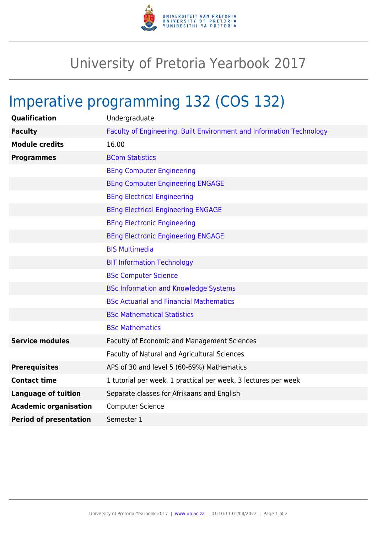

## University of Pretoria Yearbook 2017

## Imperative programming 132 (COS 132)

| Qualification                 | Undergraduate                                                        |
|-------------------------------|----------------------------------------------------------------------|
| <b>Faculty</b>                | Faculty of Engineering, Built Environment and Information Technology |
| <b>Module credits</b>         | 16.00                                                                |
| <b>Programmes</b>             | <b>BCom Statistics</b>                                               |
|                               | <b>BEng Computer Engineering</b>                                     |
|                               | <b>BEng Computer Engineering ENGAGE</b>                              |
|                               | <b>BEng Electrical Engineering</b>                                   |
|                               | <b>BEng Electrical Engineering ENGAGE</b>                            |
|                               | <b>BEng Electronic Engineering</b>                                   |
|                               | <b>BEng Electronic Engineering ENGAGE</b>                            |
|                               | <b>BIS Multimedia</b>                                                |
|                               | <b>BIT Information Technology</b>                                    |
|                               | <b>BSc Computer Science</b>                                          |
|                               | <b>BSc Information and Knowledge Systems</b>                         |
|                               | <b>BSc Actuarial and Financial Mathematics</b>                       |
|                               | <b>BSc Mathematical Statistics</b>                                   |
|                               | <b>BSc Mathematics</b>                                               |
| <b>Service modules</b>        | Faculty of Economic and Management Sciences                          |
|                               | Faculty of Natural and Agricultural Sciences                         |
| <b>Prerequisites</b>          | APS of 30 and level 5 (60-69%) Mathematics                           |
| <b>Contact time</b>           | 1 tutorial per week, 1 practical per week, 3 lectures per week       |
| <b>Language of tuition</b>    | Separate classes for Afrikaans and English                           |
| <b>Academic organisation</b>  | <b>Computer Science</b>                                              |
| <b>Period of presentation</b> | Semester 1                                                           |